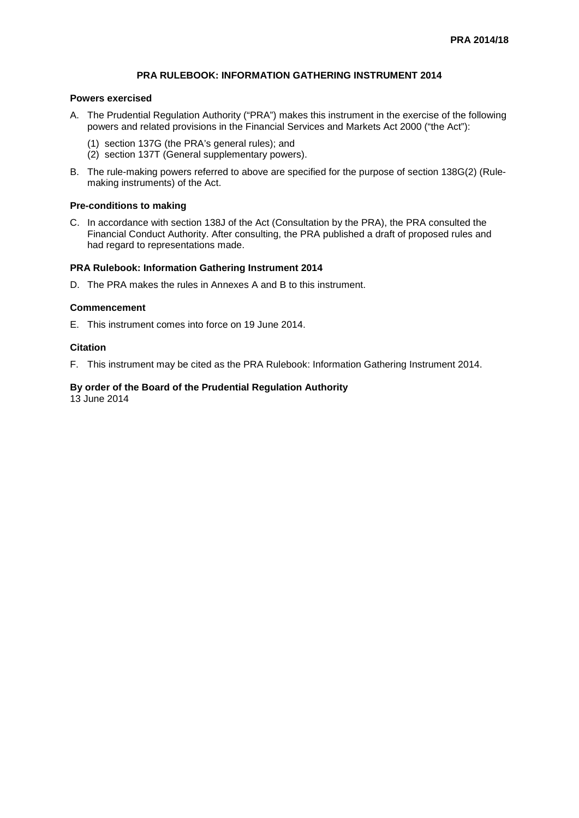## **PRA RULEBOOK: INFORMATION GATHERING INSTRUMENT 2014**

#### **Powers exercised**

- A. The Prudential Regulation Authority ("PRA") makes this instrument in the exercise of the following powers and related provisions in the Financial Services and Markets Act 2000 ("the Act"):
	- (1) section 137G (the PRA's general rules); and
	- (2) section 137T (General supplementary powers).
- B. The rule-making powers referred to above are specified for the purpose of section 138G(2) (Rulemaking instruments) of the Act.

#### **Pre-conditions to making**

C. In accordance with section 138J of the Act (Consultation by the PRA), the PRA consulted the Financial Conduct Authority. After consulting, the PRA published a draft of proposed rules and had regard to representations made.

#### **PRA Rulebook: Information Gathering Instrument 2014**

D. The PRA makes the rules in Annexes A and B to this instrument.

#### **Commencement**

E. This instrument comes into force on 19 June 2014.

## **Citation**

F. This instrument may be cited as the PRA Rulebook: Information Gathering Instrument 2014.

## **By order of the Board of the Prudential Regulation Authority**

13 June 2014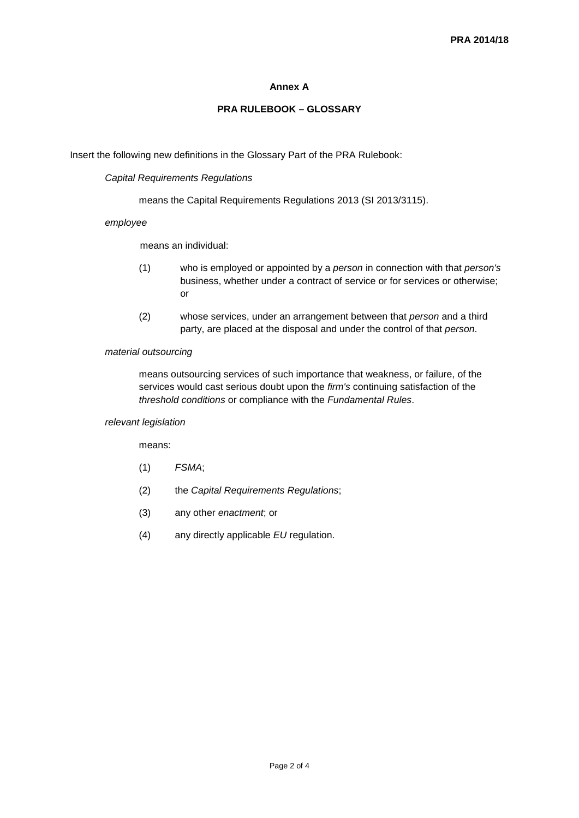## **Annex A**

# **PRA RULEBOOK – GLOSSARY**

Insert the following new definitions in the Glossary Part of the PRA Rulebook:

## *Capital Requirements Regulations*

means the Capital Requirements Regulations 2013 (SI 2013/3115).

## *employee*

means an individual:

- (1) who is employed or appointed by a *person* in connection with that *person's* business, whether under a contract of service or for services or otherwise; or
- (2) whose services, under an arrangement between that *person* and a third party, are placed at the disposal and under the control of that *person*.

## *material outsourcing*

means outsourcing services of such importance that weakness, or failure, of the services would cast serious doubt upon the *firm's* continuing satisfaction of the *threshold conditions* or compliance with the *Fundamental Rules*.

## *relevant legislation*

means:

- (1) *FSMA*;
- (2) the *Capital Requirements Regulations*;
- (3) any other *enactment*; or
- (4) any directly applicable *EU* regulation.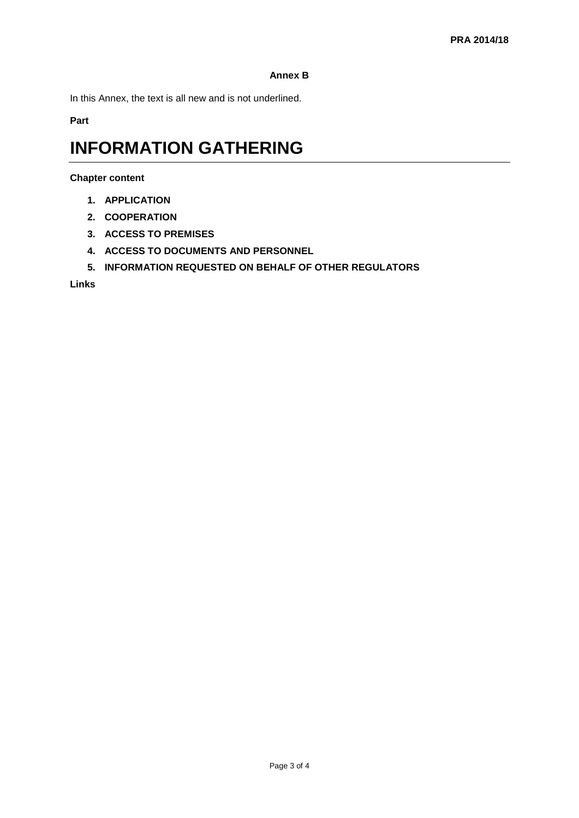# **Annex B**

In this Annex, the text is all new and is not underlined.

**Part** 

# **INFORMATION GATHERING**

**Chapter content**

- **1. APPLICATION**
- **2. COOPERATION**
- **3. ACCESS TO PREMISES**
- **4. ACCESS TO DOCUMENTS AND PERSONNEL**
- **5. INFORMATION REQUESTED ON BEHALF OF OTHER REGULATORS**

**Links**